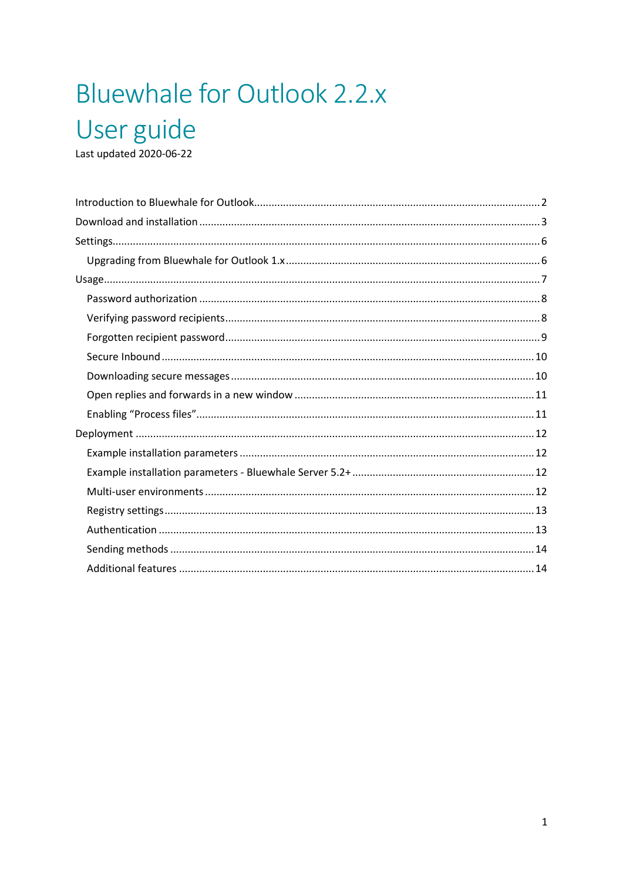# Bluewhale for Outlook 2.2.x User guide

Last updated 2020-06-22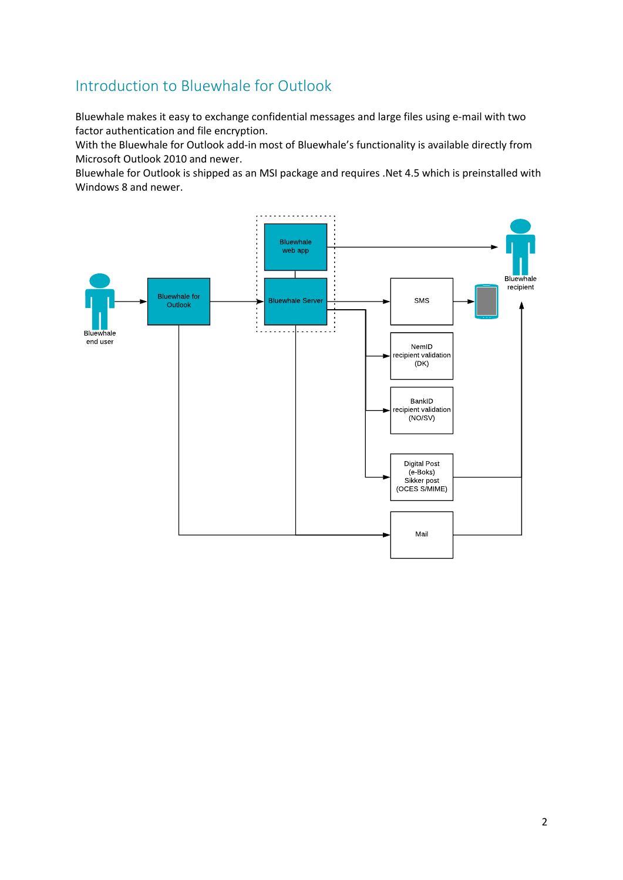# <span id="page-1-0"></span>Introduction to Bluewhale for Outlook

Bluewhale makes it easy to exchange confidential messages and large files using e-mail with two factor authentication and file encryption.

With the Bluewhale for Outlook add-in most of Bluewhale's functionality is available directly from Microsoft Outlook 2010 and newer.

Bluewhale for Outlook is shipped as an MSI package and requires .Net 4.5 which is preinstalled with Windows 8 and newer.

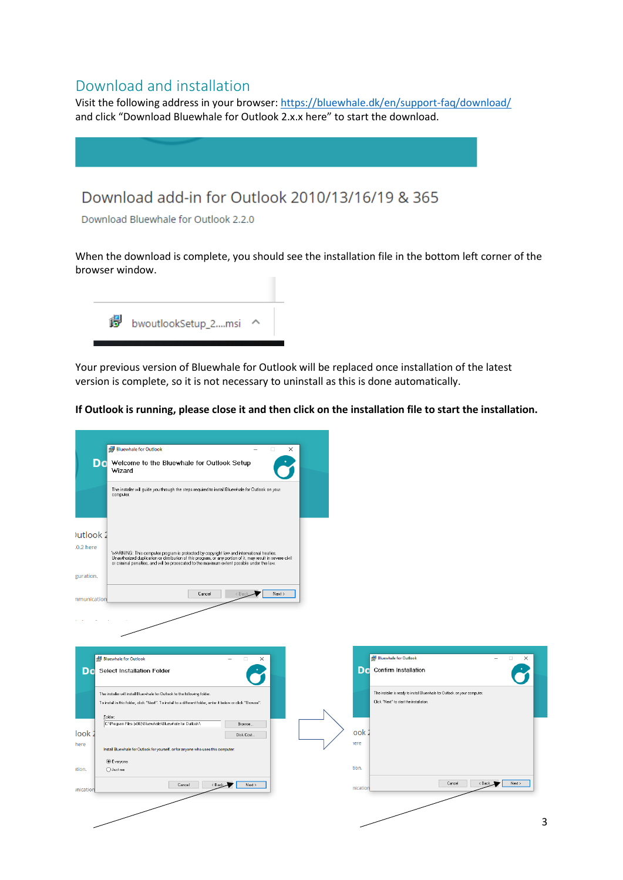# <span id="page-2-0"></span>Download and installation

Visit the following address in your browser:<https://bluewhale.dk/en/support-faq/download/> and click "Download Bluewhale for Outlook 2.x.x here" to start the download.

# Download add-in for Outlook 2010/13/16/19 & 365

Download Bluewhale for Outlook 2.2.0

When the download is complete, you should see the installation file in the bottom left corner of the browser window.



Your previous version of Bluewhale for Outlook will be replaced once installation of the latest version is complete, so it is not necessary to uninstall as this is done automatically.

**If Outlook is running, please close it and then click on the installation file to start the installation.**

| <b>Bluewhale for Outlook</b><br>$\Box$<br>$\times$<br>$\overline{\phantom{0}}$                                                                                                                                                                                                                                                       |                                                                                                                              |
|--------------------------------------------------------------------------------------------------------------------------------------------------------------------------------------------------------------------------------------------------------------------------------------------------------------------------------------|------------------------------------------------------------------------------------------------------------------------------|
| Do<br>Welcome to the Bluewhale for Outlook Setup<br>Wizard                                                                                                                                                                                                                                                                           |                                                                                                                              |
| The installer will guide you through the steps required to install Bluewhale for Outlook on your<br>computer.                                                                                                                                                                                                                        |                                                                                                                              |
| <b>Jutlook</b><br>.0.2 here<br>WARNING: This computer program is protected by copyright law and international treaties.<br>Unauthorized duplication or distribution of this program, or any portion of it, may result in severe civil<br>or criminal penalties, and will be prosecuted to the maximum extent possible under the law. |                                                                                                                              |
| guration.                                                                                                                                                                                                                                                                                                                            |                                                                                                                              |
| Cancel<br>Next ><br>$<$ Bac<br>nmunication                                                                                                                                                                                                                                                                                           |                                                                                                                              |
| Bluewhale for Outlook<br>$\Box$<br>$\times$<br>Da<br><b>Select Installation Folder</b>                                                                                                                                                                                                                                               | Bluewhale for Outlook<br>$\times$<br>$\Box$<br>Do Confirm Installation                                                       |
| The installer will install Bluewhale for Outlook to the following folder.<br>To install in this folder, click "Next". To install to a different folder, enter it below or click "Browse".<br>Folder:<br>C:\Program Files (x86)\Bluewhale\Bluewhale for Outlook\<br>Browse                                                            | The installer is ready to install Bluewhale for Outlook on your computer.<br>Click "Next" to start the installation.<br>look |
| look <sub>2</sub><br>Disk Cost<br>here<br>Install Bluewhale for Outlook for yourself, or for anyone who uses this computer:                                                                                                                                                                                                          | here                                                                                                                         |
| <b>●</b> Everyone<br>◯ Just me<br>ition.                                                                                                                                                                                                                                                                                             | tion.                                                                                                                        |
| Cancel<br><back<br>Next &gt;<br/><i><u><b>Inication</b></u></i></back<br>                                                                                                                                                                                                                                                            | $<$ Back<br>Next ><br>Cancel<br>nication                                                                                     |
|                                                                                                                                                                                                                                                                                                                                      |                                                                                                                              |
|                                                                                                                                                                                                                                                                                                                                      | 3                                                                                                                            |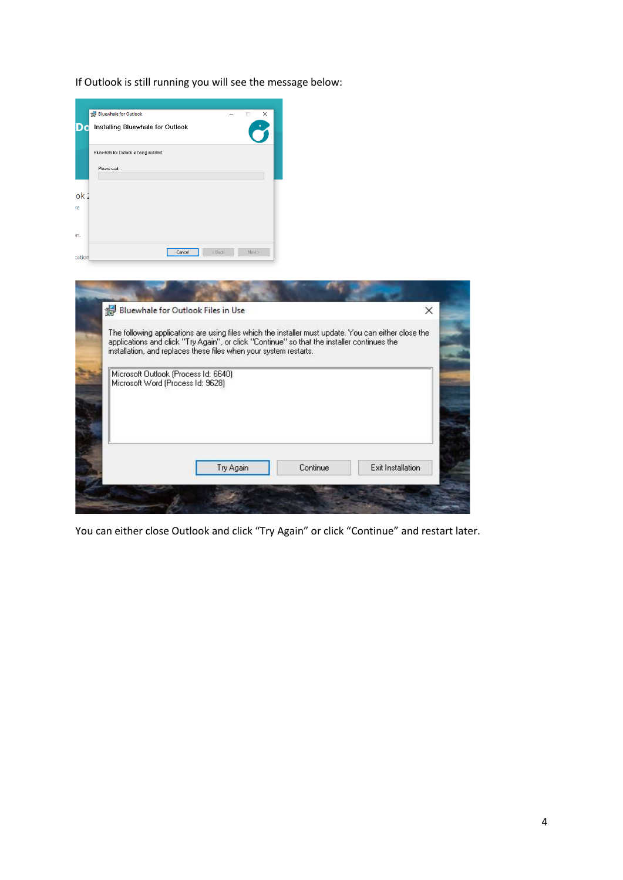If Outlook is still running you will see the message below:

| Bluewhale for Outlook is being installed.<br>Please wait<br>Cancel<br>Bluewhale for Outlook Files in Use                                                                                                                                                                 | < Back<br>Next > |           |                   |
|--------------------------------------------------------------------------------------------------------------------------------------------------------------------------------------------------------------------------------------------------------------------------|------------------|-----------|-------------------|
|                                                                                                                                                                                                                                                                          |                  |           |                   |
|                                                                                                                                                                                                                                                                          |                  |           |                   |
|                                                                                                                                                                                                                                                                          |                  |           |                   |
|                                                                                                                                                                                                                                                                          |                  |           |                   |
|                                                                                                                                                                                                                                                                          |                  |           |                   |
|                                                                                                                                                                                                                                                                          |                  |           |                   |
| The following applications are using files which the installer must update. You can either close the<br>applications and click "Try Again", or click "Continue" so that the installer continues the<br>installation, and replaces these files when your system restarts. |                  |           |                   |
| Microsoft Outlook (Process Id: 6640)<br>Microsoft Word (Process Id: 9628)                                                                                                                                                                                                |                  |           |                   |
|                                                                                                                                                                                                                                                                          |                  |           |                   |
|                                                                                                                                                                                                                                                                          |                  |           |                   |
|                                                                                                                                                                                                                                                                          |                  |           |                   |
|                                                                                                                                                                                                                                                                          |                  |           | Exit Installation |
|                                                                                                                                                                                                                                                                          |                  | Try Again | Continue          |

You can either close Outlook and click "Try Again" or click "Continue" and restart later.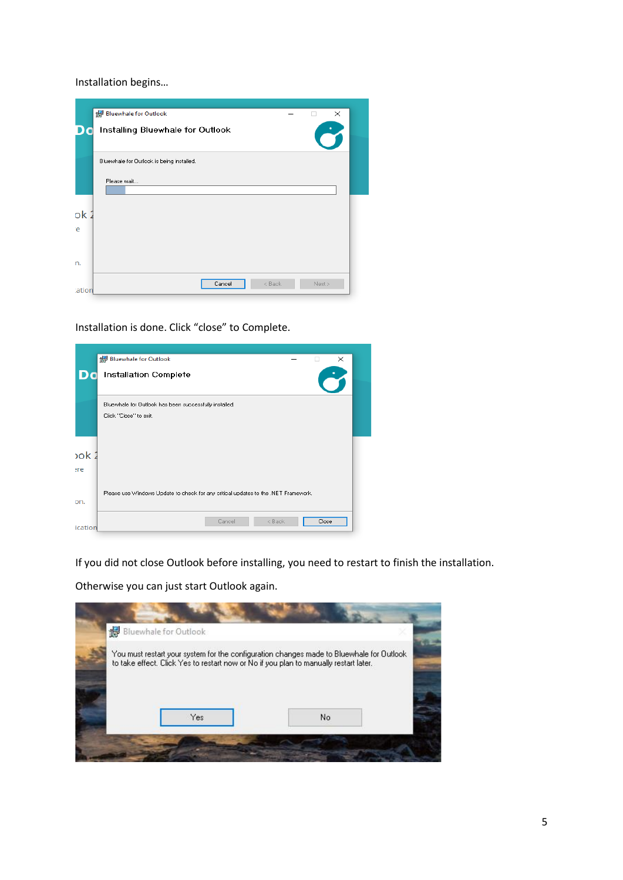Installation begins…



Installation is done. Click "close" to Complete.

|                  | Bluewhale for Outlook<br>$\times$                                                  |  |
|------------------|------------------------------------------------------------------------------------|--|
|                  |                                                                                    |  |
|                  | <b>Installation Complete</b>                                                       |  |
|                  | Bluewhale for Outlook has been successfully installed.                             |  |
|                  | Click "Close" to exit.                                                             |  |
| 20k <sub>2</sub> |                                                                                    |  |
| ere              |                                                                                    |  |
| on.              | Please use Windows Update to check for any critical updates to the .NET Framework. |  |
| ication          | < Back<br>Cancel<br>Close                                                          |  |

If you did not close Outlook before installing, you need to restart to finish the installation.

Otherwise you can just start Outlook again.

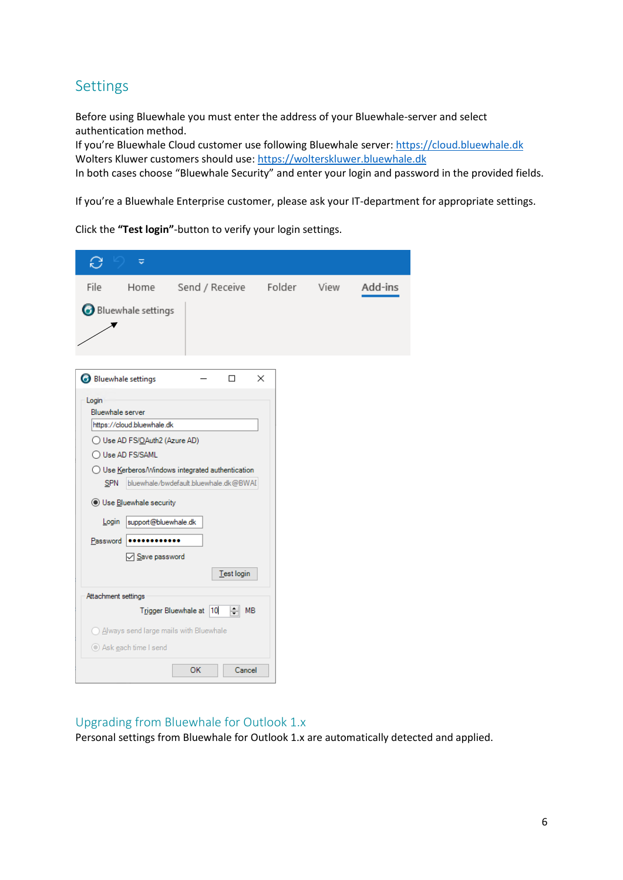# <span id="page-5-0"></span>Settings

Before using Bluewhale you must enter the address of your Bluewhale-server and select authentication method.

If you're Bluewhale Cloud customer use following Bluewhale server: [https://cloud.bluewhale.dk](https://cloud.bluewhale.dk/) Wolters Kluwer customers should use: [https://wolterskluwer.bluewhale.dk](https://wolterskluwer.bluewhale.dk/)

In both cases choose "Bluewhale Security" and enter your login and password in the provided fields.

If you're a Bluewhale Enterprise customer, please ask your IT-department for appropriate settings.

Click the **"Test login"**-button to verify your login settings.

| C<br>≂                                                                                                                                                                                                                                          |                                                                                                         |   |      |         |
|-------------------------------------------------------------------------------------------------------------------------------------------------------------------------------------------------------------------------------------------------|---------------------------------------------------------------------------------------------------------|---|------|---------|
| File<br>Home                                                                                                                                                                                                                                    | Send / Receive Folder                                                                                   |   | View | Add-ins |
| Bluewhale settings                                                                                                                                                                                                                              |                                                                                                         |   |      |         |
| Bluewhale settings                                                                                                                                                                                                                              | п                                                                                                       | × |      |         |
| Login<br>Bluewhale server<br>https://cloud.bluewhale.dk<br>◯ Use AD FS/OAuth2 (Azure AD)<br>◯ Use AD FS/SAML<br><b>SPN</b><br>● Use Bluewhale security<br>support@bluewhale.dk<br>Login<br>Password<br><br>Save password<br>Attachment settings | ◯ Use Kerberos/Windows integrated authentication<br>bluewhale/bwdefault.bluewhale.dk@BWAI<br>Test login |   |      |         |
|                                                                                                                                                                                                                                                 | Trigger Bluewhale at 10<br>$\left  \div \right $<br><b>MB</b>                                           |   |      |         |
| Always send large mails with Bluewhale<br>Ask each time I send                                                                                                                                                                                  |                                                                                                         |   |      |         |
|                                                                                                                                                                                                                                                 | Cancel<br>ОК                                                                                            |   |      |         |

## <span id="page-5-1"></span>Upgrading from Bluewhale for Outlook 1.x

Personal settings from Bluewhale for Outlook 1.x are automatically detected and applied.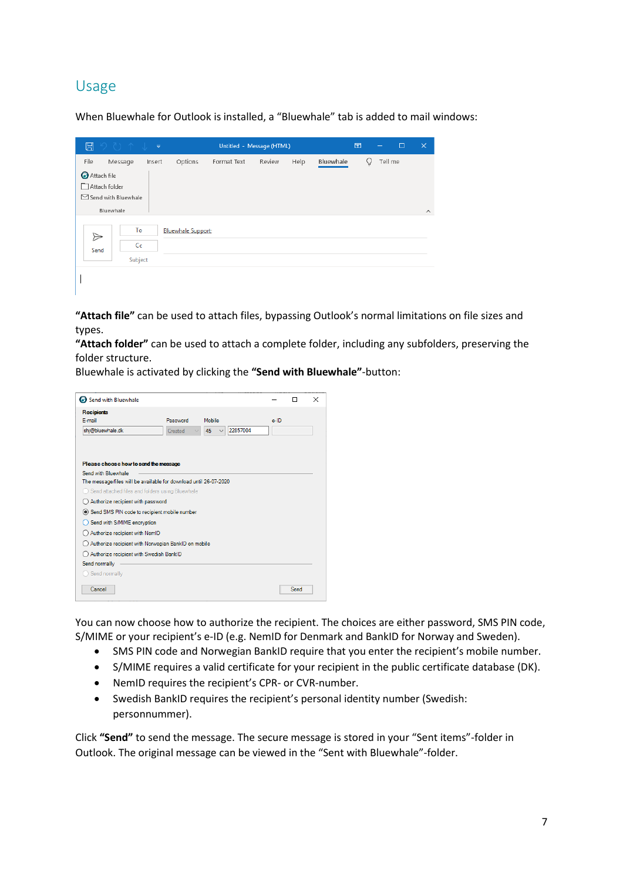# <span id="page-6-0"></span>Usage

When Bluewhale for Outlook is installed, a "Bluewhale" tab is added to mail windows:

| $\boxplus$                                                                                     | 9011                |        |                           |             | Untitled - Message (HTML) |      |           | $\overline{\mathbf{E}}$ | $\overline{\phantom{0}}$ | $\Box$  | $\times$ |
|------------------------------------------------------------------------------------------------|---------------------|--------|---------------------------|-------------|---------------------------|------|-----------|-------------------------|--------------------------|---------|----------|
| File<br>Attach file<br>M<br>Attach folder<br>$\triangleright$ Send with Bluewhale<br>Bluewhale | Message             | Insert | Options                   | Format Text | Review                    | Help | Bluewhale |                         | Q                        | Tell me | $\wedge$ |
| $\Rightarrow$<br>Send                                                                          | To<br>Cc<br>Subject |        | <b>Bluewhale Support;</b> |             |                           |      |           |                         |                          |         |          |

**"Attach file"** can be used to attach files, bypassing Outlook's normal limitations on file sizes and types.

**"Attach folder"** can be used to attach a complete folder, including any subfolders, preserving the folder structure.

Bluewhale is activated by clicking the **"Send with Bluewhale"**-button:

| Send with Bluewhale                                               |          |                                |         | п    | $\times$ |
|-------------------------------------------------------------------|----------|--------------------------------|---------|------|----------|
| <b>Recipients</b>                                                 |          |                                |         |      |          |
| E-mail                                                            | Password | Mobile                         | $e$ -ID |      |          |
| shj@bluewhale.dk                                                  | Created  | 22857004<br>45<br>$\checkmark$ |         |      |          |
|                                                                   |          |                                |         |      |          |
| Please choose how to send the message                             |          |                                |         |      |          |
| Send with Bluewhale                                               |          |                                |         |      |          |
| The message/files will be available for download until 26-07-2020 |          |                                |         |      |          |
| Send attached files and folders using Bluewhale                   |          |                                |         |      |          |
| Authorize recipient with password                                 |          |                                |         |      |          |
| Send SMS PIN code to recipient mobile number                      |          |                                |         |      |          |
| Send with S/MIME encryption                                       |          |                                |         |      |          |
| Authorize recipient with NemID                                    |          |                                |         |      |          |
| Authorize recipient with Norwegian BankID on mobile               |          |                                |         |      |          |
| Authorize recipient with Swedish BankID                           |          |                                |         |      |          |
| Send normally                                                     |          |                                |         |      |          |
| Send normally                                                     |          |                                |         |      |          |
|                                                                   |          |                                |         | Send |          |
| Cancel                                                            |          |                                |         |      |          |

You can now choose how to authorize the recipient. The choices are either password, SMS PIN code, S/MIME or your recipient's e-ID (e.g. NemID for Denmark and BankID for Norway and Sweden).

- SMS PIN code and Norwegian BankID require that you enter the recipient's mobile number.
- S/MIME requires a valid certificate for your recipient in the public certificate database (DK).
- NemID requires the recipient's CPR- or CVR-number.
- Swedish BankID requires the recipient's personal identity number (Swedish: personnummer).

<span id="page-6-1"></span>Click **"Send"** to send the message. The secure message is stored in your "Sent items"-folder in Outlook. The original message can be viewed in the "Sent with Bluewhale"-folder.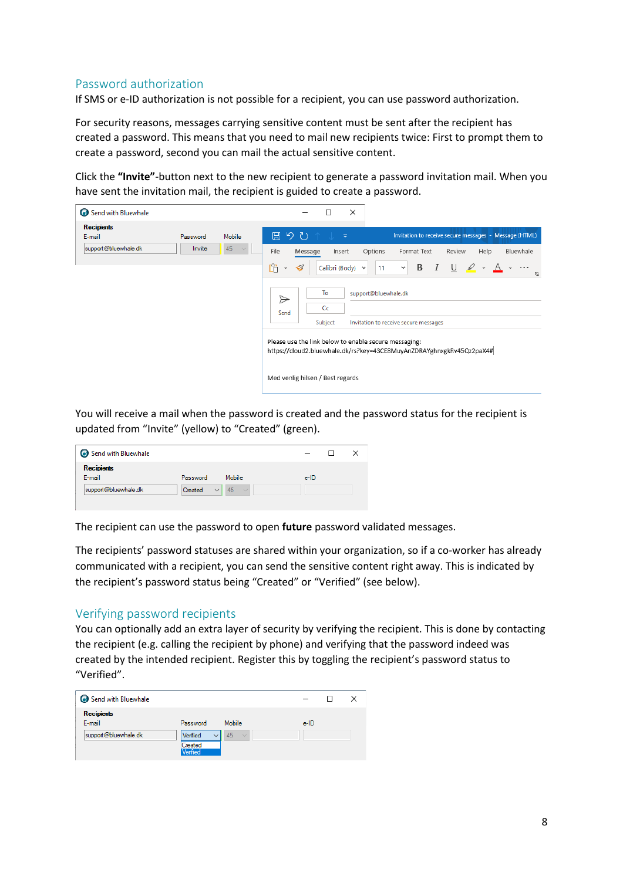## Password authorization

If SMS or e-ID authorization is not possible for a recipient, you can use password authorization.

For security reasons, messages carrying sensitive content must be sent after the recipient has created a password. This means that you need to mail new recipients twice: First to prompt them to create a password, second you can mail the actual sensitive content.

Click the **"Invite"**-button next to the new recipient to generate a password invitation mail. When you have sent the invitation mail, the recipient is guided to create a password.

| Send with Bluewhale         |          |        | ×<br>□                                                                                                                                                                                                                                                                                                                                                                                                                                                                                                                                              |
|-----------------------------|----------|--------|-----------------------------------------------------------------------------------------------------------------------------------------------------------------------------------------------------------------------------------------------------------------------------------------------------------------------------------------------------------------------------------------------------------------------------------------------------------------------------------------------------------------------------------------------------|
| <b>Recipients</b><br>E-mail | Password | Mobile | 日 り ひ<br>Invitation to receive secure messages - Message (HTML)<br>$\overline{\mathbf{v}}$                                                                                                                                                                                                                                                                                                                                                                                                                                                          |
| support@bluewhale.dk        | Invite   | 45     | Options<br>Bluewhale<br><b>File</b><br>Format Text<br>Review<br>Help<br>Message<br>Insert<br>m<br>В<br>$\blacktriangleleft$<br>U<br>$\sqrt{2}$<br>$\top$<br>Calibri (Body) v<br>v<br>$\cdot$ A<br>11<br>$\sim$ $\cdots$<br>$\checkmark$<br>ΙZ.<br>To<br>support@bluewhale.dk<br>$\triangleright$<br>C <sub>C</sub><br>Send<br>Subject<br>Invitation to receive secure messages<br>Please use the link below to enable secure messaging:<br>https://cloud2.bluewhale.dk/rs?key=43CE8MuyAnZDRAYghnxgkRv45Qz2paX4#<br>Med venlig hilsen / Best regards |

You will receive a mail when the password is created and the password status for the recipient is updated from "Invite" (yellow) to "Created" (green).

| Send with Bluewhale         |          |                              |         |  |
|-----------------------------|----------|------------------------------|---------|--|
| <b>Recipients</b><br>E-mail | Password | Mobile                       | $e$ -ID |  |
| support@bluewhale.dk        | Created  | 45<br>$\checkmark$<br>$\sim$ |         |  |

The recipient can use the password to open **future** password validated messages.

<span id="page-7-0"></span>The recipients' password statuses are shared within your organization, so if a co-worker has already communicated with a recipient, you can send the sensitive content right away. This is indicated by the recipient's password status being "Created" or "Verified" (see below).

#### Verifying password recipients

You can optionally add an extra layer of security by verifying the recipient. This is done by contacting the recipient (e.g. calling the recipient by phone) and verifying that the password indeed was created by the intended recipient. Register this by toggling the recipient's password status to "Verified".

| Send with Bluewhale         |                                 |                              | $\qquad \qquad -$ |  |
|-----------------------------|---------------------------------|------------------------------|-------------------|--|
| <b>Recipients</b><br>E-mail | Password                        | Mobile                       | e-ID              |  |
| support@bluewhale.dk        | Verified<br>Created<br>Verified | 45<br>$\sim$<br>$\checkmark$ |                   |  |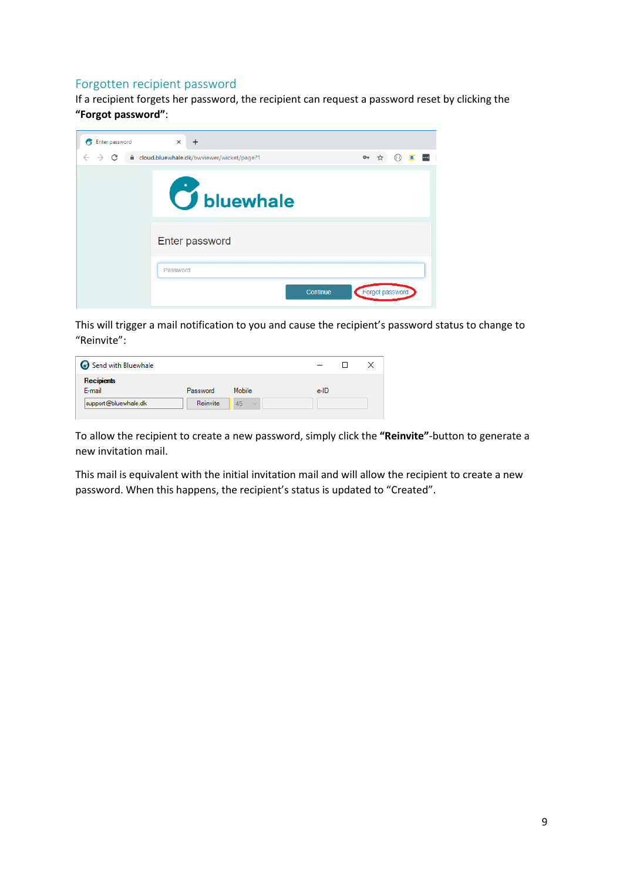#### <span id="page-8-0"></span>Forgotten recipient password

If a recipient forgets her password, the recipient can request a password reset by clicking the **"Forgot password"**:

| Enter password<br>Ħ | $\times$<br>+                               |                                             |
|---------------------|---------------------------------------------|---------------------------------------------|
| $\rightarrow$ C     | ■ cloud.bluewhale.dk/bwviewer/wicket/page?1 | $\left  \cdots \right $<br>07 ☆<br>$($ (--) |
|                     | <b>O</b> bluewhale                          |                                             |
|                     | Enter password                              |                                             |
|                     | Password                                    |                                             |
|                     |                                             | Forgot password<br>Continue                 |

This will trigger a mail notification to you and cause the recipient's password status to change to "Reinvite":

| Send with Bluewhale         |          |                  |      |  |
|-----------------------------|----------|------------------|------|--|
| <b>Recipients</b><br>E-mail | Password | Mobile           | e-ID |  |
| support@bluewhale.dk        | Reinvite | 45<br>$\searrow$ |      |  |

To allow the recipient to create a new password, simply click the **"Reinvite"**-button to generate a new invitation mail.

This mail is equivalent with the initial invitation mail and will allow the recipient to create a new password. When this happens, the recipient's status is updated to "Created".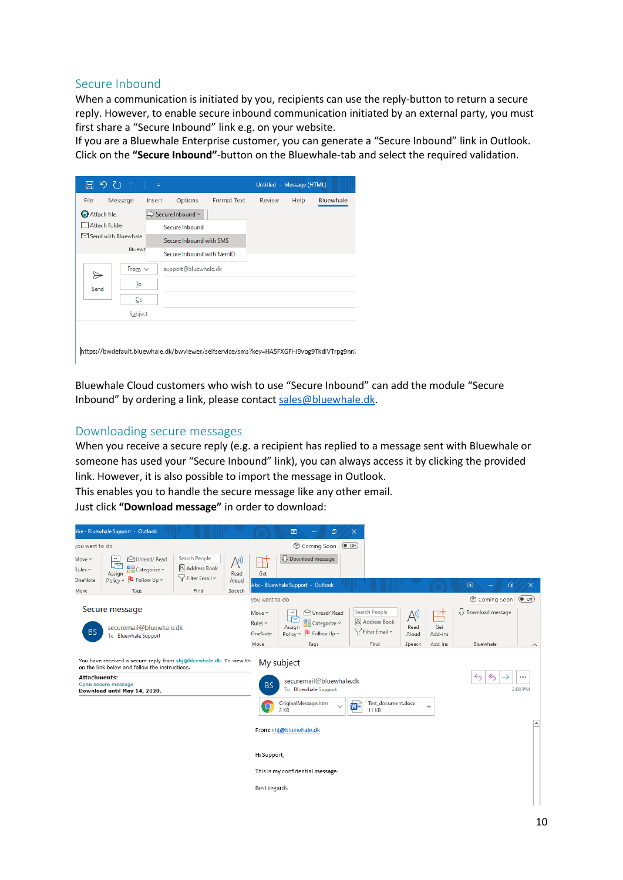#### <span id="page-9-0"></span>Secure Inbound

When a communication is initiated by you, recipients can use the reply-button to return a secure reply. However, to enable secure inbound communication initiated by an external party, you must first share a "Secure Inbound" link e.g. on your website.

If you are a Bluewhale Enterprise customer, you can generate a "Secure Inbound" link in Outlook. Click on the **"Secure Inbound"**-button on the Bluewhale-tab and select the required validation.

| 日 り ひ                         |               | ₹      |                           |                                                                                         |        | Untitled - Message (HTML) |           |
|-------------------------------|---------------|--------|---------------------------|-----------------------------------------------------------------------------------------|--------|---------------------------|-----------|
| File                          | Message       | Insert | Options                   | Format Text                                                                             | Review | Help                      | Bluewhale |
| <b>Attach file</b>            |               |        | Secure Inbound ~          |                                                                                         |        |                           |           |
|                               | Attach folder |        | Secure Inbound            |                                                                                         |        |                           |           |
| $\boxdot$ Send with Bluewhale |               |        | Secure Inbound with SMS   |                                                                                         |        |                           |           |
|                               | Bluewh        |        | Secure Inbound with NemID |                                                                                         |        |                           |           |
|                               | From $\vee$   |        | support@bluewhale.dk      |                                                                                         |        |                           |           |
| Send                          | ↣<br>To       |        |                           |                                                                                         |        |                           |           |
|                               | Cc            |        |                           |                                                                                         |        |                           |           |
|                               | Subject       |        |                           |                                                                                         |        |                           |           |
|                               |               |        |                           |                                                                                         |        |                           |           |
|                               |               |        |                           | https://bwdefault.bluewhale.dk/bwviewer/selfservice/sms?key=HA5FXGFHi9vbg9TkdiVTrpg9nn7 |        |                           |           |

Bluewhale Cloud customers who wish to use "Secure Inbound" can add the module "Secure Inbound" by ordering a link, please contact [sales@bluewhale.dk.](mailto:sales@bluewhale.dk)

#### <span id="page-9-1"></span>Downloading secure messages

When you receive a secure reply (e.g. a recipient has replied to a message sent with Bluewhale or someone has used your "Secure Inbound" link), you can always access it by clicking the provided link. However, it is also possible to import the message in Outlook.

This enables you to handle the secure message like any other email.

Just click **"Download message"** in order to download:

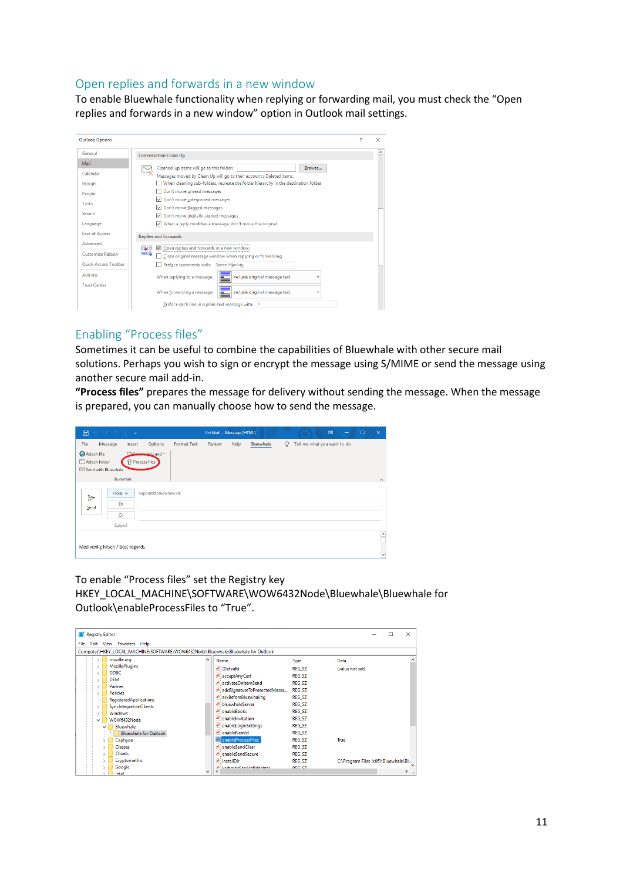#### <span id="page-10-0"></span>Open replies and forwards in a new window

To enable Bluewhale functionality when replying or forwarding mail, you must check the "Open replies and forwards in a new window" option in Outlook mail settings.

| <b>Outlook Options</b>                                              |                                                                                                                                                                                                                                                                                                                                                                                                                                                              | 2 | × |
|---------------------------------------------------------------------|--------------------------------------------------------------------------------------------------------------------------------------------------------------------------------------------------------------------------------------------------------------------------------------------------------------------------------------------------------------------------------------------------------------------------------------------------------------|---|---|
| General                                                             | <b>Conversation Clean Up</b>                                                                                                                                                                                                                                                                                                                                                                                                                                 |   | ▲ |
| Mail<br>Calendar<br>Groups<br>People<br>Tasks<br>Search<br>Language | Cleaned-up items will go to this folder:<br>Browse<br>Messages moved by Clean Up will go to their account's Deleted Items.<br>When cleaning sub-folders, recreate the folder hierarchy in the destination folder<br>Don't move unread messages<br>Don't move categorized messages<br>$\mathord{\vee}$<br>Don't move flagged messages<br>Don't move digitally-signed messages<br>$\vee$<br>When a reply modifies a message, don't move the original<br>$\vee$ |   |   |
| <b>Ease of Access</b>                                               | <b>Replies and forwards</b>                                                                                                                                                                                                                                                                                                                                                                                                                                  |   |   |
| Advanced<br>Customize Ribbon<br><b>Ouick Access Toolbar</b>         | $\vee$ Open replies and forwards in a new window<br>a E<br><b>EA</b><br>Close original message window when replying or forwarding<br>Preface comments with:<br>Søren Hjarlvig                                                                                                                                                                                                                                                                                |   |   |
| Add-ins<br><b>Trust Center</b>                                      | Include original message text<br>When replying to a message:<br>Include original message text<br>When forwarding a message:                                                                                                                                                                                                                                                                                                                                  |   |   |
|                                                                     | Preface each line in a plain-text message with: >                                                                                                                                                                                                                                                                                                                                                                                                            |   |   |

## <span id="page-10-1"></span>Enabling "Process files"

Sometimes it can be useful to combine the capabilities of Bluewhale with other secure mail solutions. Perhaps you wish to sign or encrypt the message using S/MIME or send the message using another secure mail add-in.

**"Process files"** prepares the message for delivery without sending the message. When the message is prepared, you can manually choose how to send the message.

| <b>IEI</b>               | $\odot$ ( $\uparrow$ $\downarrow$ $\downarrow$ |                        |                      |             | Untitled - Message (HTML) |      |           |          |                             | $\mathbf{E}$ | - | $\Box$<br>$\times$                                   |
|--------------------------|------------------------------------------------|------------------------|----------------------|-------------|---------------------------|------|-----------|----------|-----------------------------|--------------|---|------------------------------------------------------|
| File                     | Message                                        | Insert                 | Options              | Format Text | Review                    | Help | Bluewhale | $\Omega$ | Tell me what you want to do |              |   |                                                      |
| Attach file              | Attach folder<br>Send with Bluewhale           | سعد<br>↑ Process files | malabound ~          |             |                           |      |           |          |                             |              |   |                                                      |
|                          |                                                | Bluewhale              |                      |             |                           |      |           |          |                             |              |   | $\widehat{\phantom{a}}$                              |
| $\triangleright$<br>Send | From $\vee$<br>To<br>C <sub>c</sub><br>Subject |                        | support@bluewhale.dk |             |                           |      |           |          |                             |              |   |                                                      |
|                          | Med venlig hilsen / Best regards               |                        |                      |             |                           |      |           |          |                             |              |   | $\overline{\phantom{a}}$<br>$\overline{\phantom{0}}$ |

#### To enable "Process files" set the Registry key HKEY\_LOCAL\_MACHINE\SOFTWARE\WOW6432Node\Bluewhale\Bluewhale for Outlook\enableProcessFiles to "True".

| Registry Editor |                                                                                  |   |                                     |               | ×<br>п                               |
|-----------------|----------------------------------------------------------------------------------|---|-------------------------------------|---------------|--------------------------------------|
| <b>File</b>     | Edit View Favorites Help                                                         |   |                                     |               |                                      |
|                 | Computer\HKEY_LOCAL_MACHINE\SOFTWARE\WOW6432Node\Bluewhale\Bluewhale for Outlook |   |                                     |               |                                      |
|                 | mozilla.org                                                                      | ۸ | Name                                | Type          | Data                                 |
|                 | <b>MozillaPlugins</b>                                                            |   | ab (Default)                        | REG_SZ        | (value not set)                      |
|                 | <b>ODBC</b>                                                                      |   | ab acceptAnyCert                    | REG_SZ        |                                      |
|                 | <b>OEM</b>                                                                       |   | ab activateOnItemSend               | <b>REG SZ</b> |                                      |
|                 | Partner<br><b>Policies</b>                                                       |   | ab addSignatureToProtectedMessa     | REG SZ        |                                      |
|                 | <b>RegisteredApplications</b>                                                    |   | ab askBeforeBluewhaling             | <b>REG SZ</b> |                                      |
|                 | <b>SyncIntegrationClients</b>                                                    |   | ab bluewhaleServer                  | REG SZ        |                                      |
|                 | <b>Windows</b>                                                                   |   | ab enableEboks                      | REG SZ        |                                      |
|                 | WOW6432Node                                                                      |   | ab enablelnvitation                 | REG SZ        |                                      |
|                 | <b>Bluewhale</b>                                                                 |   | ab enableLoginSettings              | REG SZ        |                                      |
|                 | <b>Bluewhale for Outlook</b>                                                     |   | ab enableNemid                      | <b>REG SZ</b> |                                      |
|                 | Caphyon                                                                          |   | ab enableProcessFiles               | <b>REG SZ</b> | True                                 |
|                 | <b>Classes</b>                                                                   |   | ab enableSendClear                  | <b>REG SZ</b> |                                      |
|                 | <b>Clients</b>                                                                   |   | ab enableSendSecure                 | REG_SZ        |                                      |
|                 | Cryptomathic                                                                     |   | ab installDir                       | REG_SZ        | C:\Program Files (x86)\Bluewhale\Blu |
|                 | Google                                                                           | v | ah kadaarar San den Drin cinal<br>≺ | DEC C7        | $\sum_{i=1}^{n}$                     |
|                 | Intel                                                                            |   |                                     |               |                                      |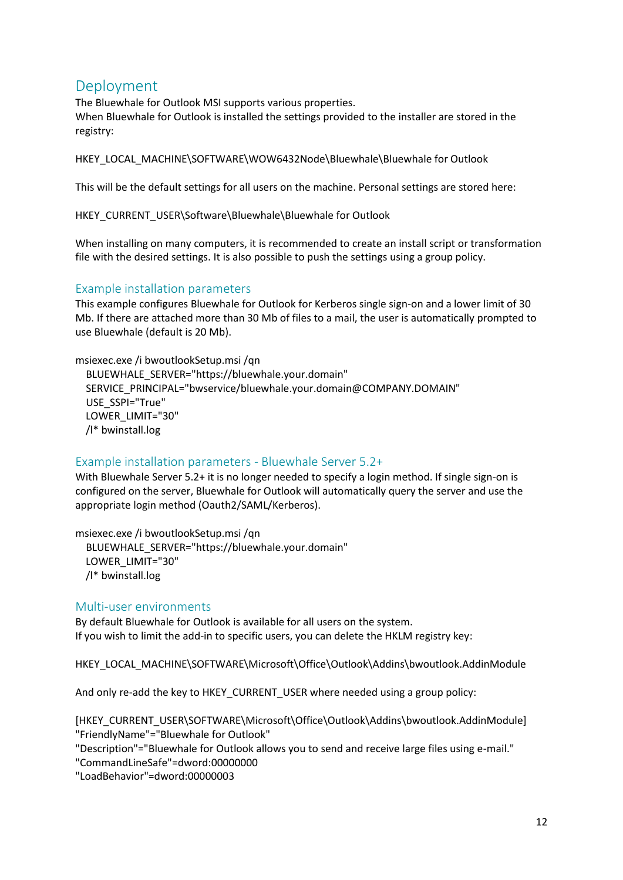# <span id="page-11-0"></span>Deployment

The Bluewhale for Outlook MSI supports various properties. When Bluewhale for Outlook is installed the settings provided to the installer are stored in the registry:

HKEY\_LOCAL\_MACHINE\SOFTWARE\WOW6432Node\Bluewhale\Bluewhale for Outlook

This will be the default settings for all users on the machine. Personal settings are stored here:

HKEY\_CURRENT\_USER\Software\Bluewhale\Bluewhale for Outlook

When installing on many computers, it is recommended to create an install script or transformation file with the desired settings. It is also possible to push the settings using a group policy.

## <span id="page-11-1"></span>Example installation parameters

This example configures Bluewhale for Outlook for Kerberos single sign-on and a lower limit of 30 Mb. If there are attached more than 30 Mb of files to a mail, the user is automatically prompted to use Bluewhale (default is 20 Mb).

#### msiexec.exe /i bwoutlookSetup.msi /qn

BLUEWHALE\_SERVER="https://bluewhale.your.domain" SERVICE\_PRINCIPAL="bwservice/bluewhale.your.domain@COMPANY.DOMAIN" USE\_SSPI="True" LOWER\_LIMIT="30" /l\* bwinstall.log

## <span id="page-11-2"></span>Example installation parameters - Bluewhale Server 5.2+

With Bluewhale Server 5.2+ it is no longer needed to specify a login method. If single sign-on is configured on the server, Bluewhale for Outlook will automatically query the server and use the appropriate login method (Oauth2/SAML/Kerberos).

msiexec.exe /i bwoutlookSetup.msi /qn BLUEWHALE\_SERVER="https://bluewhale.your.domain" LOWER\_LIMIT="30" /l\* bwinstall.log

#### <span id="page-11-3"></span>Multi-user environments

By default Bluewhale for Outlook is available for all users on the system. If you wish to limit the add-in to specific users, you can delete the HKLM registry key:

HKEY\_LOCAL\_MACHINE\SOFTWARE\Microsoft\Office\Outlook\Addins\bwoutlook.AddinModule

And only re-add the key to HKEY\_CURRENT\_USER where needed using a group policy:

[HKEY\_CURRENT\_USER\SOFTWARE\Microsoft\Office\Outlook\Addins\bwoutlook.AddinModule] "FriendlyName"="Bluewhale for Outlook"

"Description"="Bluewhale for Outlook allows you to send and receive large files using e-mail."

"CommandLineSafe"=dword:00000000

"LoadBehavior"=dword:00000003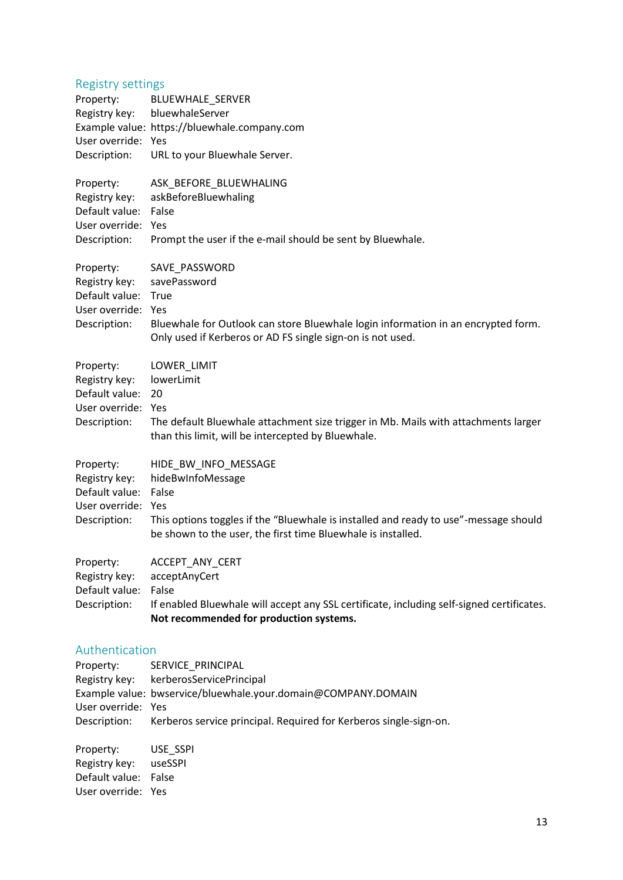#### <span id="page-12-0"></span>Registry settings

<span id="page-12-1"></span>

| Property:<br>Registry key:<br>User override: Yes<br>Description:                   | <b>BLUEWHALE SERVER</b><br>bluewhaleServer<br>Example value: https://bluewhale.company.com<br>URL to your Bluewhale Server.                                                                                       |
|------------------------------------------------------------------------------------|-------------------------------------------------------------------------------------------------------------------------------------------------------------------------------------------------------------------|
| Property:<br>Registry key:<br>Default value:<br>User override: Yes<br>Description: | ASK_BEFORE_BLUEWHALING<br>askBeforeBluewhaling<br>False<br>Prompt the user if the e-mail should be sent by Bluewhale.                                                                                             |
| Property:<br>Registry key:<br>Default value:<br>User override: Yes<br>Description: | SAVE_PASSWORD<br>savePassword<br>True<br>Bluewhale for Outlook can store Bluewhale login information in an encrypted form.<br>Only used if Kerberos or AD FS single sign-on is not used.                          |
| Property:<br>Registry key:<br>Default value:<br>User override: Yes<br>Description: | LOWER_LIMIT<br>lowerLimit<br>20<br>The default Bluewhale attachment size trigger in Mb. Mails with attachments larger<br>than this limit, will be intercepted by Bluewhale.                                       |
| Property:<br>Registry key:<br>Default value:<br>User override:<br>Description:     | HIDE_BW_INFO_MESSAGE<br>hideBwInfoMessage<br>False<br>Yes<br>This options toggles if the "Bluewhale is installed and ready to use"-message should<br>be shown to the user, the first time Bluewhale is installed. |
| Property:<br>Registry key:<br>Default value:<br>Description:                       | ACCEPT ANY CERT<br>acceptAnyCert<br>False<br>If enabled Bluewhale will accept any SSL certificate, including self-signed certificates.<br>Not recommended for production systems.                                 |
| Authentication                                                                     |                                                                                                                                                                                                                   |
| Property:<br>Registry key:<br>User override: Yes<br>Description:                   | SERVICE PRINCIPAL<br>kerberosServicePrincipal<br>Example value: bwservice/bluewhale.your.domain@COMPANY.DOMAIN<br>Kerberos service principal. Required for Kerberos single-sign-on.                               |
| Property:<br>Registry key:<br>Default value:<br>User override: Yes                 | USE_SSPI<br>useSSPI<br>False                                                                                                                                                                                      |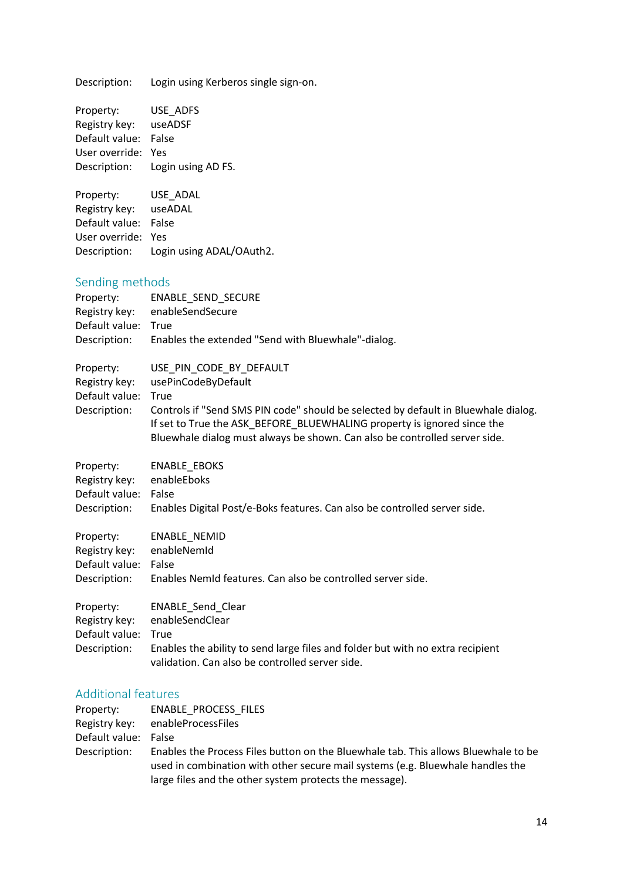Description: Login using Kerberos single sign-on.

<span id="page-13-0"></span>

| Property:<br>Registry key:<br>Default value: False<br>User override: Yes<br>Description: | USE_ADFS<br>useADSF<br>Login using AD FS.                                                                                                                                                                                                                                                             |
|------------------------------------------------------------------------------------------|-------------------------------------------------------------------------------------------------------------------------------------------------------------------------------------------------------------------------------------------------------------------------------------------------------|
| Property:<br>Registry key:<br>Default value:<br>User override: Yes<br>Description:       | USE ADAL<br>useADAL<br>False<br>Login using ADAL/OAuth2.                                                                                                                                                                                                                                              |
| Sending methods<br>Property:<br>Registry key:<br>Default value: True<br>Description:     | ENABLE_SEND_SECURE<br>enableSendSecure<br>Enables the extended "Send with Bluewhale"-dialog.                                                                                                                                                                                                          |
| Property:<br>Registry key:<br>Default value:<br>Description:                             | USE_PIN_CODE_BY_DEFAULT<br>usePinCodeByDefault<br>True<br>Controls if "Send SMS PIN code" should be selected by default in Bluewhale dialog.<br>If set to True the ASK_BEFORE_BLUEWHALING property is ignored since the<br>Bluewhale dialog must always be shown. Can also be controlled server side. |
| Property:<br>Registry key:<br>Default value:<br>Description:                             | <b>ENABLE_EBOKS</b><br>enableEboks<br>False<br>Enables Digital Post/e-Boks features. Can also be controlled server side.                                                                                                                                                                              |
| Property:<br>Registry key:<br>Default value:<br>Description:                             | ENABLE_NEMID<br>enableNemId<br>False<br>Enables Nemid features. Can also be controlled server side.                                                                                                                                                                                                   |
| Property:<br>Registry key:<br>Default value:<br>Description:                             | ENABLE_Send_Clear<br>enableSendClear<br>True<br>Enables the ability to send large files and folder but with no extra recipient<br>validation. Can also be controlled server side.                                                                                                                     |

## <span id="page-13-1"></span>Additional features

| Property:            | ENABLE PROCESS FILES                                                                                                                                                 |
|----------------------|----------------------------------------------------------------------------------------------------------------------------------------------------------------------|
|                      | Registry key: enableProcessFiles                                                                                                                                     |
| Default value: False |                                                                                                                                                                      |
| Description:         | Enables the Process Files button on the Bluewhale tab. This allows Bluewhale to be<br>used in combination with other secure mail systems (e.g. Bluewhale handles the |
|                      | large files and the other system protects the message).                                                                                                              |